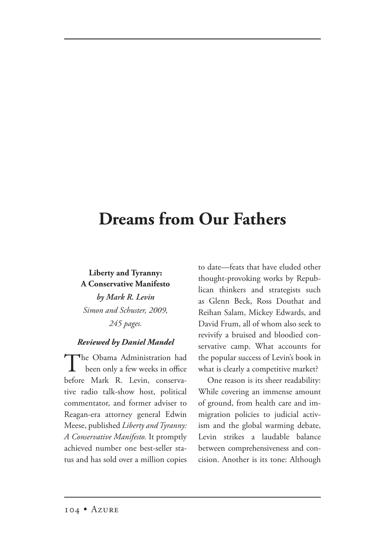## **Dreams from Our Fathers**

## **Liberty and Tyranny: A Conservative Manifesto**

*by Mark R. Levin Simon and Schuster, 2009, 245 pages.*

## *Reviewed by Daniel Mandel*

The Obama Administration had<br>been only a few weeks in office before Mark R. Levin, conservative radio talk-show host, political commentator, and former adviser to Reagan-era attorney general Edwin Meese, published *Liberty and Tyranny: A Conservative Manifesto.* It promptly achieved number one best-seller status and has sold over a million copies

to date—feats that have eluded other thought-provoking works by Republican thinkers and strategists such as Glenn Beck, Ross Douthat and Reihan Salam, Mickey Edwards, and David Frum, all of whom also seek to revivify a bruised and bloodied conservative camp. What accounts for the popular success of Levin's book in what is clearly a competitive market?

One reason is its sheer readability: While covering an immense amount of ground, from health care and immigration policies to judicial activism and the global warming debate, Levin strikes a laudable balance between comprehensiveness and concision. Another is its tone: Although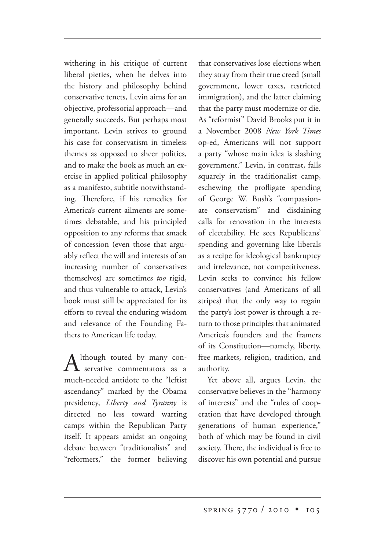withering in his critique of current liberal pieties, when he delves into the history and philosophy behind conservative tenets, Levin aims for an objective, professorial approach—and generally succeeds. But perhaps most important, Levin strives to ground his case for conservatism in timeless themes as opposed to sheer politics, and to make the book as much an exercise in applied political philosophy as a manifesto, subtitle notwithstanding. Therefore, if his remedies for America's current ailments are sometimes debatable, and his principled opposition to any reforms that smack of concession (even those that arguably reflect the will and interests of an increasing number of conservatives themselves) are sometimes *too* rigid, and thus vulnerable to attack, Levin's book must still be appreciated for its efforts to reveal the enduring wisdom and relevance of the Founding Fathers to American life today.

 $A$ <sup>lthough</sup> touted by many conmuch-needed antidote to the "leftist ascendancy" marked by the Obama presidency, *Liberty and Tyranny* is directed no less toward warring camps within the Republican Party itself. It appears amidst an ongoing debate between "traditionalists" and "reformers," the former believing that conservatives lose elections when they stray from their true creed (small government, lower taxes, restricted immigration), and the latter claiming that the party must modernize or die. As "reformist" David Brooks put it in a November 2008 *New York Times* op-ed, Americans will not support a party "whose main idea is slashing government." Levin, in contrast, falls squarely in the traditionalist camp, eschewing the profligate spending of George W. Bush's "compassionate conservatism" and disdaining calls for renovation in the interests of electability. He sees Republicans' spending and governing like liberals as a recipe for ideological bankruptcy and irrelevance, not competitiveness. Levin seeks to convince his fellow conservatives (and Americans of all stripes) that the only way to regain the party's lost power is through a return to those principles that animated America's founders and the framers of its Constitution—namely, liberty, free markets, religion, tradition, and authority.

Yet above all, argues Levin, the conservative believes in the "harmony of interests" and the "rules of cooperation that have developed through generations of human experience," both of which may be found in civil society. There, the individual is free to discover his own potential and pursue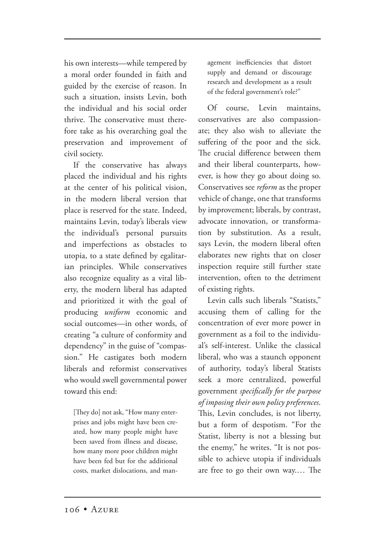his own interests—while tempered by a moral order founded in faith and guided by the exercise of reason. In such a situation, insists Levin, both the individual and his social order thrive. The conservative must therefore take as his overarching goal the preservation and improvement of civil society.

If the conservative has always placed the individual and his rights at the center of his political vision, in the modern liberal version that place is reserved for the state. Indeed, maintains Levin, today's liberals view the individual's personal pursuits and imperfections as obstacles to utopia, to a state defined by egalitarian principles. While conservatives also recognize equality as a vital liberty, the modern liberal has adapted and prioritized it with the goal of producing *uniform* economic and social outcomes—in other words, of creating "a culture of conformity and dependency" in the guise of "compassion." He castigates both modern liberals and reformist conservatives who would swell governmental power toward this end:

[They do] not ask, "How many enterprises and jobs might have been created, how many people might have been saved from illness and disease, how many more poor children might have been fed but for the additional costs, market dislocations, and man-

agement inefficiencies that distort supply and demand or discourage research and development as a result of the federal government's role?"

Of course, Levin maintains, conservatives are also compassionate; they also wish to alleviate the suffering of the poor and the sick. The crucial difference between them and their liberal counterparts, however, is how they go about doing so. Conservatives see *reform* as the proper vehicle of change, one that transforms by improvement; liberals, by contrast, advocate innovation, or transformation by substitution. As a result, says Levin, the modern liberal often elaborates new rights that on closer inspection require still further state intervention, often to the detriment of existing rights.

Levin calls such liberals "Statists," accusing them of calling for the concentration of ever more power in government as a foil to the individual's self-interest. Unlike the classical liberal, who was a staunch opponent of authority, today's liberal Statists seek a more centralized, powerful government *specifically for the purpose of imposing their own policy preferences*. This, Levin concludes, is not liberty, but a form of despotism. "For the Statist, liberty is not a blessing but the enemy," he writes. "It is not possible to achieve utopia if individuals are free to go their own way.... The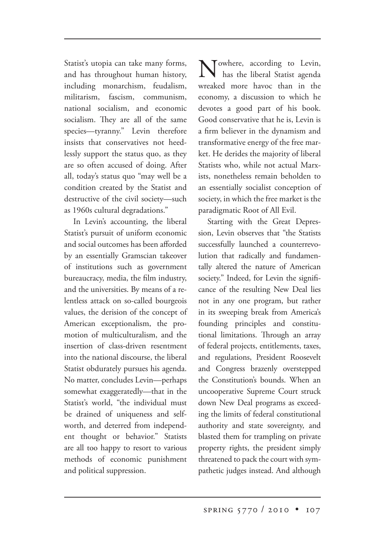Statist's utopia can take many forms, and has throughout human history, including monarchism, feudalism, militarism, fascism, communism, national socialism, and economic socialism. They are all of the same species—tyranny." Levin therefore insists that conservatives not heedlessly support the status quo, as they are so often accused of doing. After all, today's status quo "may well be a condition created by the Statist and destructive of the civil society—such as 1960s cultural degradations."

In Levin's accounting, the liberal Statist's pursuit of uniform economic and social outcomes has been afforded by an essentially Gramscian takeover of institutions such as government bureaucracy, media, the film industry, and the universities. By means of a relentless attack on so-called bourgeois values, the derision of the concept of American exceptionalism, the promotion of multiculturalism, and the insertion of class-driven resentment into the national discourse, the liberal Statist obdurately pursues his agenda. No matter, concludes Levin—perhaps somewhat exaggeratedly—that in the Statist's world, "the individual must be drained of uniqueness and selfworth, and deterred from independent thought or behavior." Statists are all too happy to resort to various methods of economic punishment and political suppression.

Towhere, according to Levin, has the liberal Statist agenda wreaked more havoc than in the economy, a discussion to which he devotes a good part of his book. Good conservative that he is, Levin is a firm believer in the dynamism and transformative energy of the free market. He derides the majority of liberal Statists who, while not actual Marxists, nonetheless remain beholden to an essentially socialist conception of society, in which the free market is the paradigmatic Root of All Evil.

Starting with the Great Depression, Levin observes that "the Statists successfully launched a counterrevolution that radically and fundamentally altered the nature of American society." Indeed, for Levin the significance of the resulting New Deal lies not in any one program, but rather in its sweeping break from America's founding principles and constitutional limitations. Through an array of federal projects, entitlements, taxes, and regulations, President Roosevelt and Congress brazenly overstepped the Constitution's bounds. When an uncooperative Supreme Court struck down New Deal programs as exceeding the limits of federal constitutional authority and state sovereignty, and blasted them for trampling on private property rights, the president simply threatened to pack the court with sympathetic judges instead. And although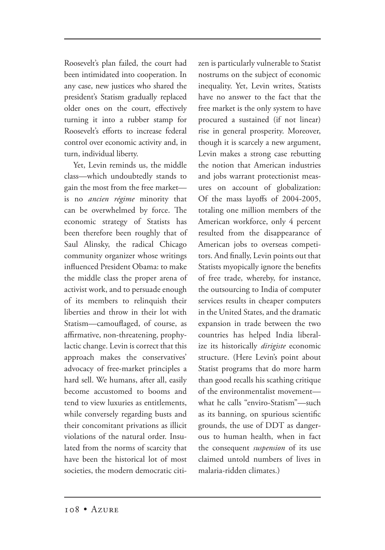Roosevelt's plan failed, the court had been intimidated into cooperation. In any case, new justices who shared the president's Statism gradually replaced older ones on the court, effectively turning it into a rubber stamp for Roosevelt's efforts to increase federal control over economic activity and, in turn, individual liberty.

Yet, Levin reminds us, the middle class—which undoubtedly stands to gain the most from the free market is no *ancien régime* minority that can be overwhelmed by force. The economic strategy of Statists has been therefore been roughly that of Saul Alinsky, the radical Chicago community organizer whose writings influenced President Obama: to make the middle class the proper arena of activist work, and to persuade enough of its members to relinquish their liberties and throw in their lot with Statism—camouflaged, of course, as affirmative, non-threatening, prophylactic change. Levin is correct that this approach makes the conservatives' advocacy of free-market principles a hard sell. We humans, after all, easily become accustomed to booms and tend to view luxuries as entitlements, while conversely regarding busts and their concomitant privations as illicit violations of the natural order. Insulated from the norms of scarcity that have been the historical lot of most societies, the modern democratic citizen is particularly vulnerable to Statist nostrums on the subject of economic inequality. Yet, Levin writes, Statists have no answer to the fact that the free market is the only system to have procured a sustained (if not linear) rise in general prosperity. Moreover, though it is scarcely a new argument, Levin makes a strong case rebutting the notion that American industries and jobs warrant protectionist measures on account of globalization: Of the mass layoffs of 2004-2005, totaling one million members of the American workforce, only 4 percent resulted from the disappearance of American jobs to overseas competitors. And finally, Levin points out that Statists myopically ignore the benefits of free trade, whereby, for instance, the outsourcing to India of computer services results in cheaper computers in the United States, and the dramatic expansion in trade between the two countries has helped India liberalize its historically *dirigiste* economic structure. (Here Levin's point about Statist programs that do more harm than good recalls his scathing critique of the environmentalist movement what he calls "enviro-Statism"—such as its banning, on spurious scientific grounds, the use of DDT as dangerous to human health, when in fact the consequent *suspension* of its use claimed untold numbers of lives in malaria-ridden climates.)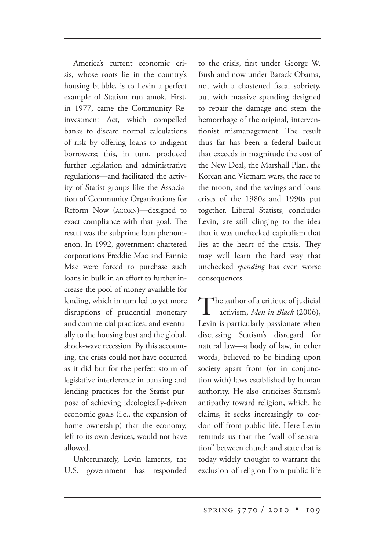America's current economic crisis, whose roots lie in the country's housing bubble, is to Levin a perfect example of Statism run amok. First, in 1977, came the Community Reinvestment Act, which compelled banks to discard normal calculations of risk by offering loans to indigent borrowers; this, in turn, produced further legislation and administrative regulations—and facilitated the activity of Statist groups like the Association of Community Organizations for Reform Now (ACORN)—designed to exact compliance with that goal. The result was the subprime loan phenomenon. In 1992, government-chartered corporations Freddie Mac and Fannie Mae were forced to purchase such loans in bulk in an effort to further increase the pool of money available for lending, which in turn led to yet more disruptions of prudential monetary and commercial practices, and eventually to the housing bust and the global, shock-wave recession. By this accounting, the crisis could not have occurred as it did but for the perfect storm of legislative interference in banking and lending practices for the Statist purpose of achieving ideologically-driven economic goals (i.e., the expansion of home ownership) that the economy, left to its own devices, would not have allowed.

Unfortunately, Levin laments, the U.S. government has responded to the crisis, first under George W. Bush and now under Barack Obama, not with a chastened fiscal sobriety, but with massive spending designed to repair the damage and stem the hemorrhage of the original, interventionist mismanagement. The result thus far has been a federal bailout that exceeds in magnitude the cost of the New Deal, the Marshall Plan, the Korean and Vietnam wars, the race to the moon, and the savings and loans crises of the 1980s and 1990s put together. Liberal Statists, concludes Levin, are still clinging to the idea that it was unchecked capitalism that lies at the heart of the crisis. They may well learn the hard way that unchecked *spending* has even worse consequences.

The author of a critique of judicial activism, *Men in Black* (2006), Levin is particularly passionate when discussing Statism's disregard for natural law—a body of law, in other words, believed to be binding upon society apart from (or in conjunction with) laws established by human authority. He also criticizes Statism's antipathy toward religion, which, he claims, it seeks increasingly to cordon off from public life. Here Levin reminds us that the "wall of separation" between church and state that is today widely thought to warrant the exclusion of religion from public life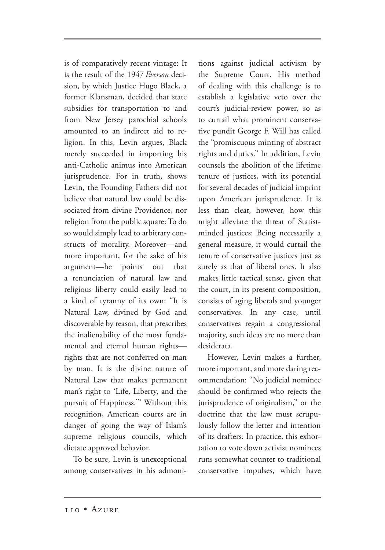is of comparatively recent vintage: It is the result of the 1947 *Everson* decision, by which Justice Hugo Black, a former Klansman, decided that state subsidies for transportation to and from New Jersey parochial schools amounted to an indirect aid to religion. In this, Levin argues, Black merely succeeded in importing his anti-Catholic animus into American jurisprudence. For in truth, shows Levin, the Founding Fathers did not believe that natural law could be dissociated from divine Providence, nor religion from the public square: To do so would simply lead to arbitrary constructs of morality. Moreover—and more important, for the sake of his argument—he points out that a renunciation of natural law and religious liberty could easily lead to a kind of tyranny of its own: "It is Natural Law, divined by God and discoverable by reason, that prescribes the inalienability of the most fundamental and eternal human rights rights that are not conferred on man by man. It is the divine nature of Natural Law that makes permanent man's right to 'Life, Liberty, and the pursuit of Happiness.'" Without this recognition, American courts are in danger of going the way of Islam's supreme religious councils, which dictate approved behavior.

To be sure, Levin is unexceptional among conservatives in his admonitions against judicial activism by the Supreme Court. His method of dealing with this challenge is to establish a legislative veto over the court's judicial-review power, so as to curtail what prominent conservative pundit George F. Will has called the "promiscuous minting of abstract rights and duties." In addition, Levin counsels the abolition of the lifetime tenure of justices, with its potential for several decades of judicial imprint upon American jurisprudence. It is less than clear, however, how this might alleviate the threat of Statistminded justices: Being necessarily a general measure, it would curtail the tenure of conservative justices just as surely as that of liberal ones. It also makes little tactical sense, given that the court, in its present composition, consists of aging liberals and younger conservatives. In any case, until conservatives regain a congressional majority, such ideas are no more than desiderata.

However, Levin makes a further, more important, and more daring recommendation: "No judicial nominee should be confirmed who rejects the jurisprudence of originalism," or the doctrine that the law must scrupulously follow the letter and intention of its drafters. In practice, this exhortation to vote down activist nominees runs somewhat counter to traditional conservative impulses, which have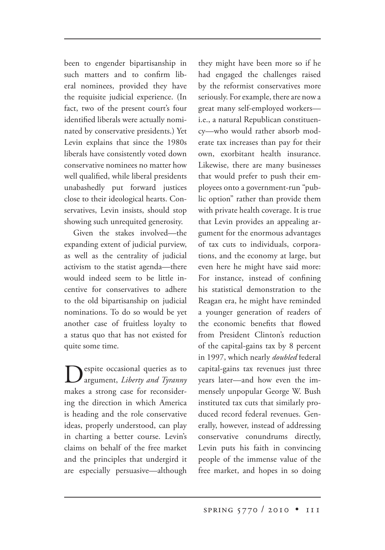been to engender bipartisanship in such matters and to confirm liberal nominees, provided they have the requisite judicial experience. (In fact, two of the present court's four identified liberals were actually nominated by conservative presidents.) Yet Levin explains that since the 1980s liberals have consistently voted down conservative nominees no matter how well qualified, while liberal presidents unabashedly put forward justices close to their ideological hearts. Conservatives, Levin insists, should stop showing such unrequited generosity.

Given the stakes involved—the expanding extent of judicial purview, as well as the centrality of judicial activism to the statist agenda—there would indeed seem to be little incentive for conservatives to adhere to the old bipartisanship on judicial nominations. To do so would be yet another case of fruitless loyalty to a status quo that has not existed for quite some time.

Despite occasional queries as to argument, *Liberty and Tyranny* makes a strong case for reconsidering the direction in which America is heading and the role conservative ideas, properly understood, can play in charting a better course. Levin's claims on behalf of the free market and the principles that undergird it are especially persuasive—although

they might have been more so if he had engaged the challenges raised by the reformist conservatives more seriously. For example, there are now a great many self-employed workers i.e., a natural Republican constituency—who would rather absorb moderate tax increases than pay for their own, exorbitant health insurance. Likewise, there are many businesses that would prefer to push their employees onto a government-run "public option" rather than provide them with private health coverage. It is true that Levin provides an appealing argument for the enormous advantages of tax cuts to individuals, corporations, and the economy at large, but even here he might have said more: For instance, instead of confining his statistical demonstration to the Reagan era, he might have reminded a younger generation of readers of the economic benefits that flowed from President Clinton's reduction of the capital-gains tax by 8 percent in 1997, which nearly *doubled* federal capital-gains tax revenues just three years later—and how even the immensely unpopular George W. Bush instituted tax cuts that similarly produced record federal revenues. Generally, however, instead of addressing conservative conundrums directly, Levin puts his faith in convincing people of the immense value of the free market, and hopes in so doing